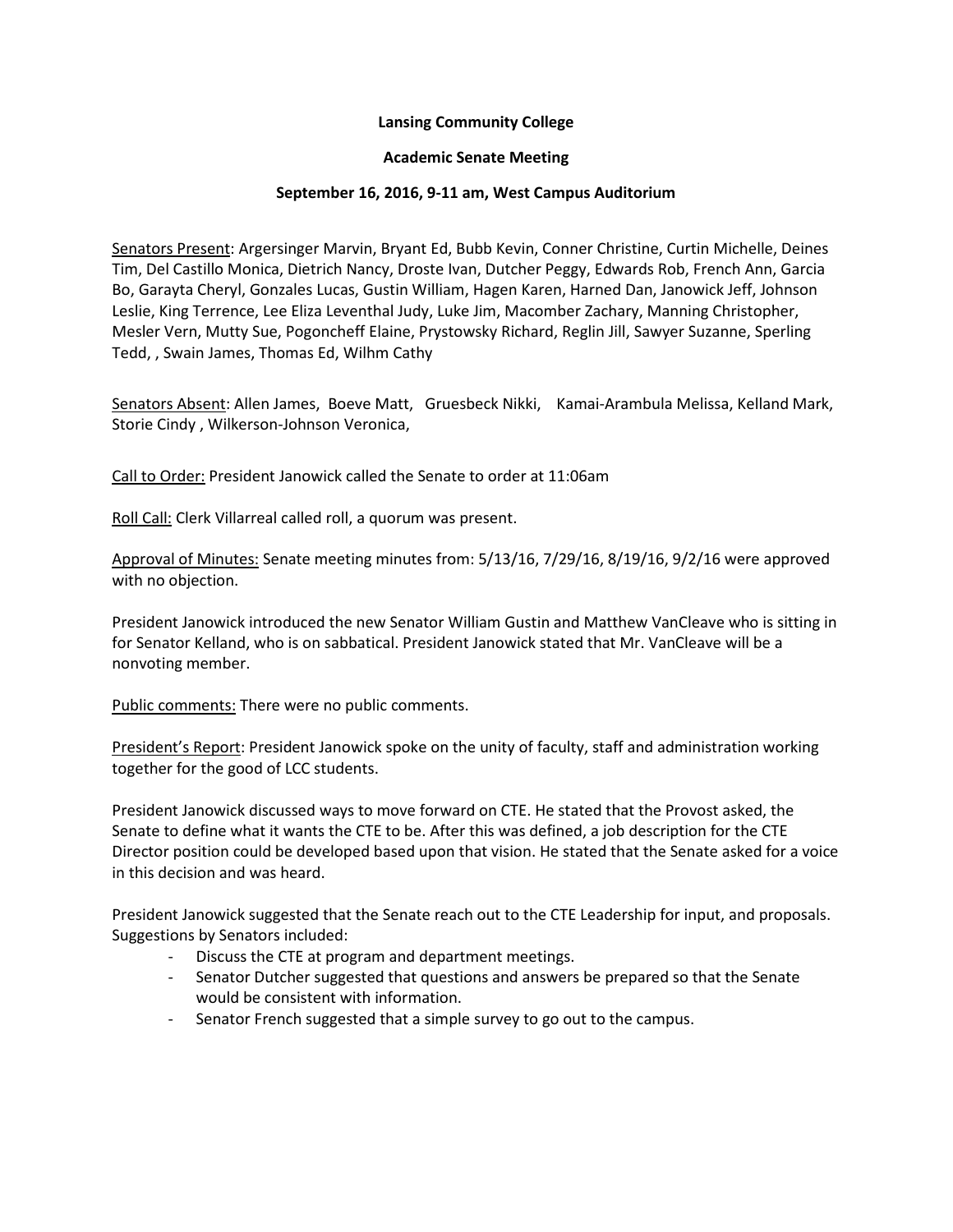## **Lansing Community College**

### **Academic Senate Meeting**

### **September 16, 2016, 9-11 am, West Campus Auditorium**

Senators Present: Argersinger Marvin, Bryant Ed, Bubb Kevin, Conner Christine, Curtin Michelle, Deines Tim, Del Castillo Monica, Dietrich Nancy, Droste Ivan, Dutcher Peggy, Edwards Rob, French Ann, Garcia Bo, Garayta Cheryl, Gonzales Lucas, Gustin William, Hagen Karen, Harned Dan, Janowick Jeff, Johnson Leslie, King Terrence, Lee Eliza Leventhal Judy, Luke Jim, Macomber Zachary, Manning Christopher, Mesler Vern, Mutty Sue, Pogoncheff Elaine, Prystowsky Richard, Reglin Jill, Sawyer Suzanne, Sperling Tedd, , Swain James, Thomas Ed, Wilhm Cathy

Senators Absent: Allen James, Boeve Matt, Gruesbeck Nikki, Kamai-Arambula Melissa, Kelland Mark, Storie Cindy , Wilkerson-Johnson Veronica,

Call to Order: President Janowick called the Senate to order at 11:06am

Roll Call: Clerk Villarreal called roll, a quorum was present.

Approval of Minutes: Senate meeting minutes from: 5/13/16, 7/29/16, 8/19/16, 9/2/16 were approved with no objection.

President Janowick introduced the new Senator William Gustin and Matthew VanCleave who is sitting in for Senator Kelland, who is on sabbatical. President Janowick stated that Mr. VanCleave will be a nonvoting member.

Public comments: There were no public comments.

President's Report: President Janowick spoke on the unity of faculty, staff and administration working together for the good of LCC students.

President Janowick discussed ways to move forward on CTE. He stated that the Provost asked, the Senate to define what it wants the CTE to be. After this was defined, a job description for the CTE Director position could be developed based upon that vision. He stated that the Senate asked for a voice in this decision and was heard.

President Janowick suggested that the Senate reach out to the CTE Leadership for input, and proposals. Suggestions by Senators included:

- Discuss the CTE at program and department meetings.
- Senator Dutcher suggested that questions and answers be prepared so that the Senate would be consistent with information.
- Senator French suggested that a simple survey to go out to the campus.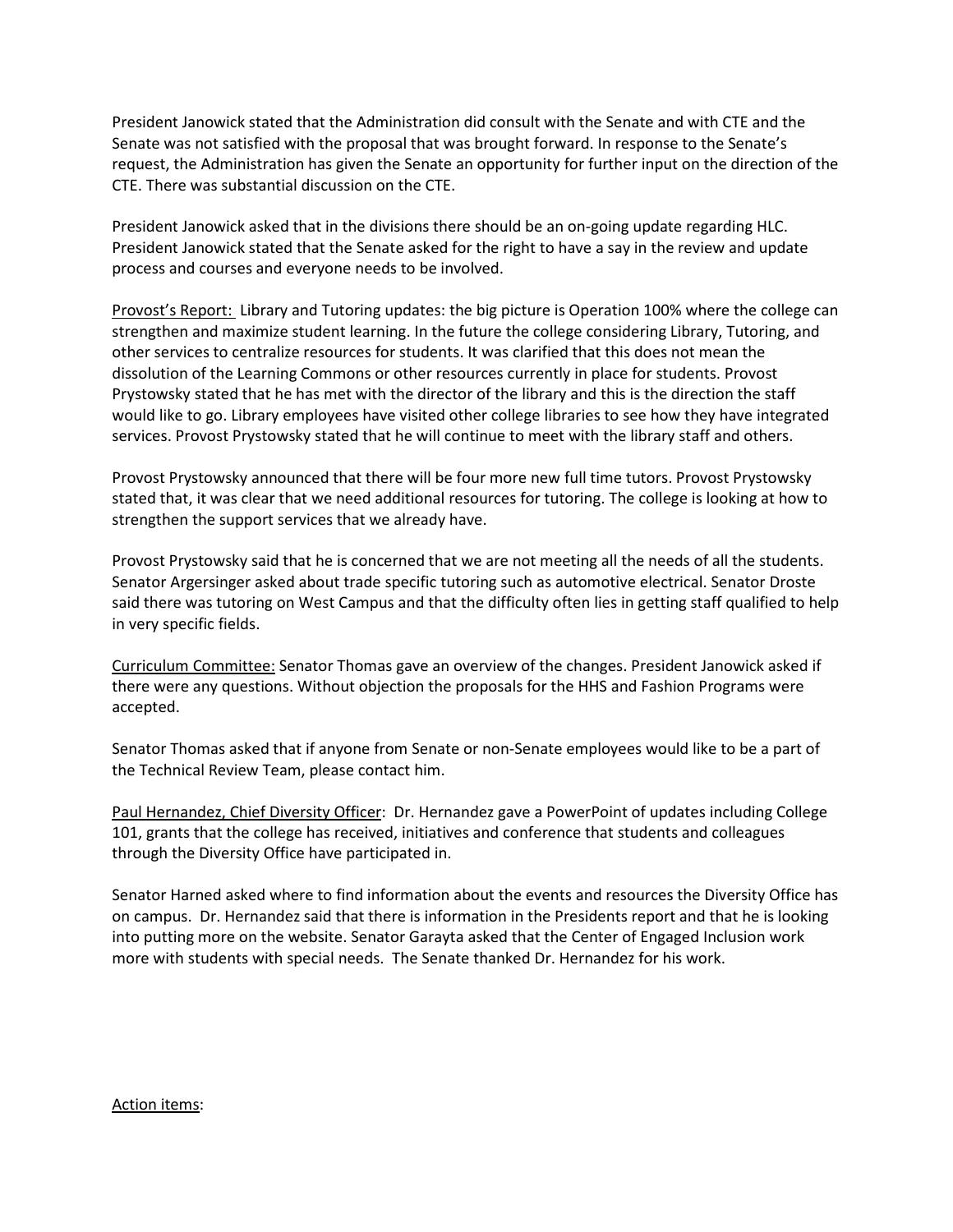President Janowick stated that the Administration did consult with the Senate and with CTE and the Senate was not satisfied with the proposal that was brought forward. In response to the Senate's request, the Administration has given the Senate an opportunity for further input on the direction of the CTE. There was substantial discussion on the CTE.

President Janowick asked that in the divisions there should be an on-going update regarding HLC. President Janowick stated that the Senate asked for the right to have a say in the review and update process and courses and everyone needs to be involved.

Provost's Report: Library and Tutoring updates: the big picture is Operation 100% where the college can strengthen and maximize student learning. In the future the college considering Library, Tutoring, and other services to centralize resources for students. It was clarified that this does not mean the dissolution of the Learning Commons or other resources currently in place for students. Provost Prystowsky stated that he has met with the director of the library and this is the direction the staff would like to go. Library employees have visited other college libraries to see how they have integrated services. Provost Prystowsky stated that he will continue to meet with the library staff and others.

Provost Prystowsky announced that there will be four more new full time tutors. Provost Prystowsky stated that, it was clear that we need additional resources for tutoring. The college is looking at how to strengthen the support services that we already have.

Provost Prystowsky said that he is concerned that we are not meeting all the needs of all the students. Senator Argersinger asked about trade specific tutoring such as automotive electrical. Senator Droste said there was tutoring on West Campus and that the difficulty often lies in getting staff qualified to help in very specific fields.

Curriculum Committee: Senator Thomas gave an overview of the changes. President Janowick asked if there were any questions. Without objection the proposals for the HHS and Fashion Programs were accepted.

Senator Thomas asked that if anyone from Senate or non-Senate employees would like to be a part of the Technical Review Team, please contact him.

Paul Hernandez, Chief Diversity Officer: Dr. Hernandez gave a PowerPoint of updates including College 101, grants that the college has received, initiatives and conference that students and colleagues through the Diversity Office have participated in.

Senator Harned asked where to find information about the events and resources the Diversity Office has on campus. Dr. Hernandez said that there is information in the Presidents report and that he is looking into putting more on the website. Senator Garayta asked that the Center of Engaged Inclusion work more with students with special needs. The Senate thanked Dr. Hernandez for his work.

#### Action items: